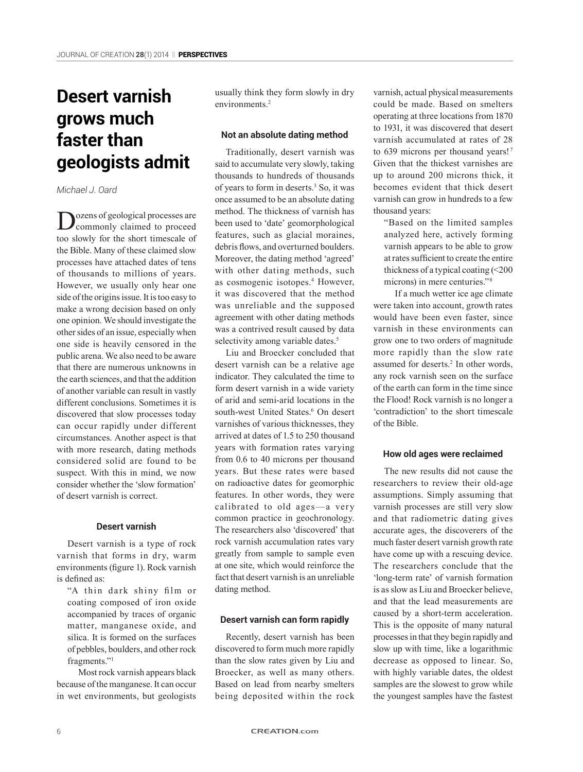# **Desert varnish grows much faster than geologists admit**

*Michael J. Oard*

Dozens of geological processes are commonly claimed to proceed too slowly for the short timescale of the Bible. Many of these claimed slow processes have attached dates of tens of thousands to millions of years. However, we usually only hear one side of the origins issue. It is too easy to make a wrong decision based on only one opinion. We should investigate the other sides of an issue, especially when one side is heavily censored in the public arena. We also need to be aware that there are numerous unknowns in the earth sciences, and that the addition of another variable can result in vastly different conclusions. Sometimes it is discovered that slow processes today can occur rapidly under different circumstances. Another aspect is that with more research, dating methods considered solid are found to be suspect. With this in mind, we now consider whether the 'slow formation' of desert varnish is correct.

### **Desert varnish**

Desert varnish is a type of rock varnish that forms in dry, warm environments (figure 1). Rock varnish is defined as:

"A thin dark shiny film or coating composed of iron oxide accompanied by traces of organic matter, manganese oxide, and silica. It is formed on the surfaces of pebbles, boulders, and other rock fragments."<sup>1</sup>

Most rock varnish appears black because of the manganese. It can occur in wet environments, but geologists

usually think they form slowly in dry environments<sup>2</sup>

### **Not an absolute dating method**

Traditionally, desert varnish was said to accumulate very slowly, taking thousands to hundreds of thousands of years to form in deserts.3 So, it was once assumed to be an absolute dating method. The thickness of varnish has been used to 'date' geomorphological features, such as glacial moraines, debris flows, and overturned boulders. Moreover, the dating method 'agreed' with other dating methods, such as cosmogenic isotopes.4 However, it was discovered that the method was unreliable and the supposed agreement with other dating methods was a contrived result caused by data selectivity among variable dates.<sup>5</sup>

Liu and Broecker concluded that desert varnish can be a relative age indicator. They calculated the time to form desert varnish in a wide variety of arid and semi-arid locations in the south-west United States.<sup>6</sup> On desert varnishes of various thicknesses, they arrived at dates of 1.5 to 250 thousand years with formation rates varying from 0.6 to 40 microns per thousand years. But these rates were based on radioactive dates for geomorphic features. In other words, they were calibrated to old ages—a very common practice in geochronology. The researchers also 'discovered' that rock varnish accumulation rates vary greatly from sample to sample even at one site, which would reinforce the fact that desert varnish is an unreliable dating method.

### **Desert varnish can form rapidly**

Recently, desert varnish has been discovered to form much more rapidly than the slow rates given by Liu and Broecker, as well as many others. Based on lead from nearby smelters being deposited within the rock varnish, actual physical measurements could be made. Based on smelters operating at three locations from 1870 to 1931, it was discovered that desert varnish accumulated at rates of 28 to 639 microns per thousand years!<sup>7</sup> Given that the thickest varnishes are up to around 200 microns thick, it becomes evident that thick desert varnish can grow in hundreds to a few thousand years:

"Based on the limited samples analyzed here, actively forming varnish appears to be able to grow at rates sufficient to create the entire thickness of a typical coating  $\leq 200$ microns) in mere centuries." 8

If a much wetter ice age climate were taken into account, growth rates would have been even faster, since varnish in these environments can grow one to two orders of magnitude more rapidly than the slow rate assumed for deserts.<sup>2</sup> In other words, any rock varnish seen on the surface of the earth can form in the time since the Flood! Rock varnish is no longer a 'contradiction' to the short timescale of the Bible.

### **How old ages were reclaimed**

The new results did not cause the researchers to review their old-age assumptions. Simply assuming that varnish processes are still very slow and that radiometric dating gives accurate ages, the discoverers of the much faster desert varnish growth rate have come up with a rescuing device. The researchers conclude that the 'long-term rate' of varnish formation is as slow as Liu and Broecker believe, and that the lead measurements are caused by a short-term acceleration. This is the opposite of many natural processes in that they begin rapidly and slow up with time, like a logarithmic decrease as opposed to linear. So, with highly variable dates, the oldest samples are the slowest to grow while the youngest samples have the fastest